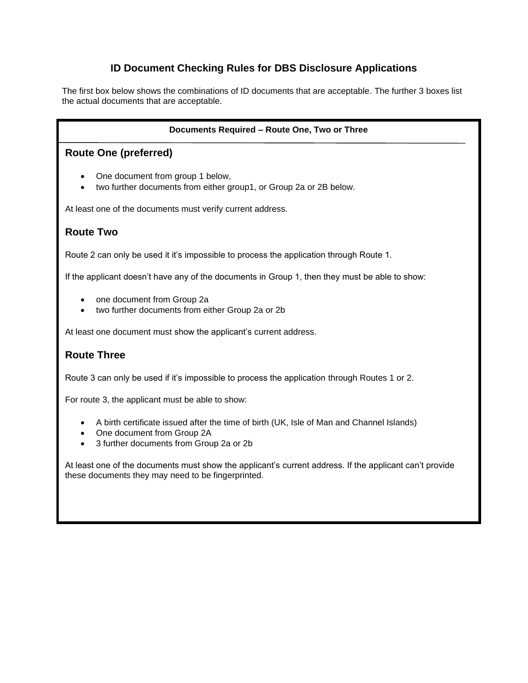# **ID Document Checking Rules for DBS Disclosure Applications**

The first box below shows the combinations of ID documents that are acceptable. The further 3 boxes list the actual documents that are acceptable.

### **Documents Required – Route One, Two or Three**

# **Route One (preferred)**

- One document from group 1 below,
- two further documents from either group1, or Group 2a or 2B below.

At least one of the documents must verify current address.

# **Route Two**

Route 2 can only be used it it's impossible to process the application through Route 1.

If the applicant doesn't have any of the documents in Group 1, then they must be able to show:

- one document from Group 2a
- two further documents from either Group 2a or 2b

At least one document must show the applicant's current address.

# **Route Three**

Route 3 can only be used if it's impossible to process the application through Routes 1 or 2.

For route 3, the applicant must be able to show:

- A birth certificate issued after the time of birth (UK, Isle of Man and Channel Islands)
- One document from Group 2A
- 3 further documents from Group 2a or 2b

At least one of the documents must show the applicant's current address. If the applicant can't provide these documents they may need to be fingerprinted.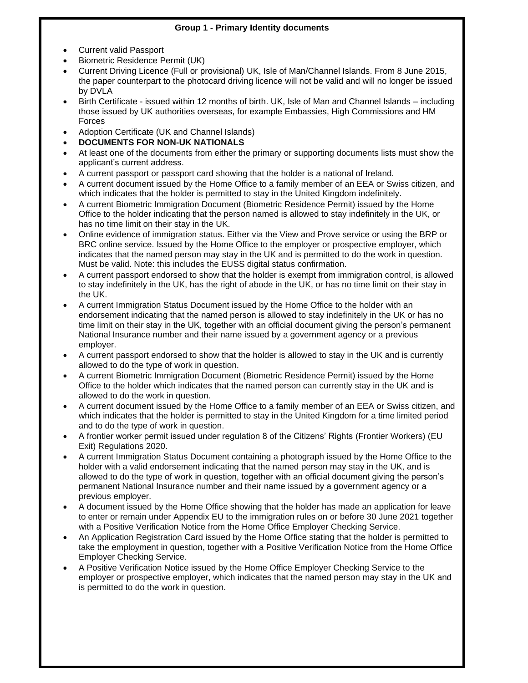### **Group 1 - Primary Identity documents**

- Current valid Passport
- Biometric Residence Permit (UK)
- Current Driving Licence (Full or provisional) UK, Isle of Man/Channel Islands. From 8 June 2015, the paper counterpart to the photocard driving licence will not be valid and will no longer be issued by DVLA
- Birth Certificate issued within 12 months of birth. UK, Isle of Man and Channel Islands including those issued by UK authorities overseas, for example Embassies, High Commissions and HM Forces
- Adoption Certificate (UK and Channel Islands)
- **DOCUMENTS FOR NON-UK NATIONALS**
- At least one of the documents from either the primary or supporting documents lists must show the applicant's current address.
- A current passport or passport card showing that the holder is a national of Ireland.
- A current document issued by the Home Office to a family member of an EEA or Swiss citizen, and which indicates that the holder is permitted to stay in the United Kingdom indefinitely.
- A current Biometric Immigration Document (Biometric Residence Permit) issued by the Home Office to the holder indicating that the person named is allowed to stay indefinitely in the UK, or has no time limit on their stay in the UK.
- Online evidence of immigration status. Either via the View and Prove service or using the BRP or BRC online service. Issued by the Home Office to the employer or prospective employer, which indicates that the named person may stay in the UK and is permitted to do the work in question. Must be valid. Note: this includes the EUSS digital status confirmation.
- A current passport endorsed to show that the holder is exempt from immigration control, is allowed to stay indefinitely in the UK, has the right of abode in the UK, or has no time limit on their stay in the UK.
- A current Immigration Status Document issued by the Home Office to the holder with an endorsement indicating that the named person is allowed to stay indefinitely in the UK or has no time limit on their stay in the UK, together with an official document giving the person's permanent National Insurance number and their name issued by a government agency or a previous employer.
- A current passport endorsed to show that the holder is allowed to stay in the UK and is currently allowed to do the type of work in question.
- A current Biometric Immigration Document (Biometric Residence Permit) issued by the Home Office to the holder which indicates that the named person can currently stay in the UK and is allowed to do the work in question.
- A current document issued by the Home Office to a family member of an EEA or Swiss citizen, and which indicates that the holder is permitted to stay in the United Kingdom for a time limited period and to do the type of work in question.
- A frontier worker permit issued under regulation 8 of the Citizens' Rights (Frontier Workers) (EU Exit) Regulations 2020.
- A current Immigration Status Document containing a photograph issued by the Home Office to the holder with a valid endorsement indicating that the named person may stay in the UK, and is allowed to do the type of work in question, together with an official document giving the person's permanent National Insurance number and their name issued by a government agency or a previous employer.
- A document issued by the Home Office showing that the holder has made an application for leave to enter or remain under Appendix EU to the immigration rules on or before 30 June 2021 together with a Positive Verification Notice from the Home Office Employer Checking Service.
- An Application Registration Card issued by the Home Office stating that the holder is permitted to take the employment in question, together with a Positive Verification Notice from the Home Office Employer Checking Service.
- A Positive Verification Notice issued by the Home Office Employer Checking Service to the employer or prospective employer, which indicates that the named person may stay in the UK and is permitted to do the work in question.